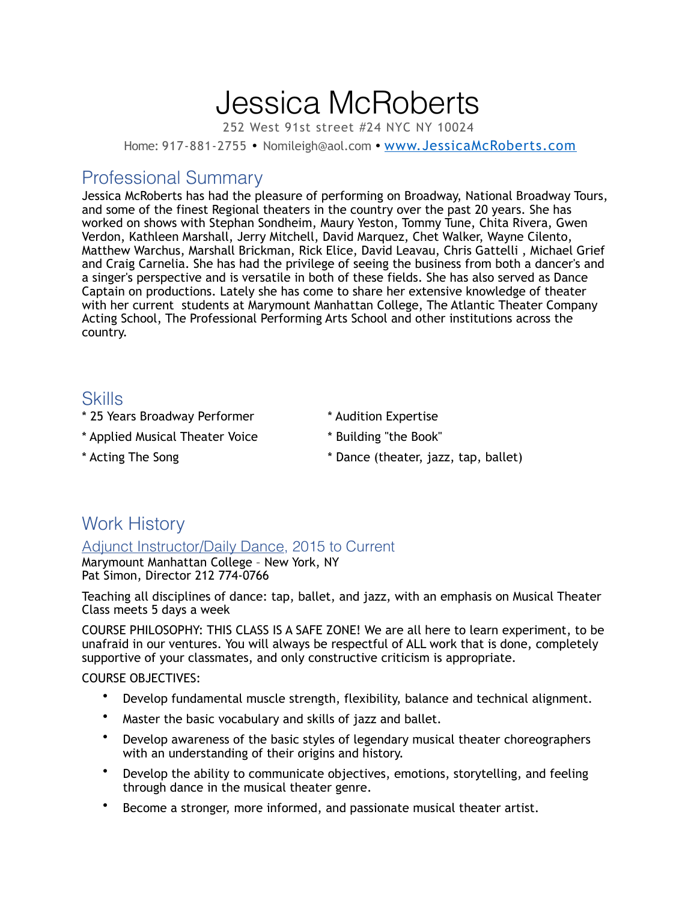# Jessica McRoberts

252 West 91st street #24 NYC NY 10024

Home: 917-881-2755 • Nomileigh@aol.com • [www.JessicaMcRoberts.com](http://www.JessicaMcRoberts.com)

# Professional Summary

Jessica McRoberts has had the pleasure of performing on Broadway, National Broadway Tours, and some of the finest Regional theaters in the country over the past 20 years. She has worked on shows with Stephan Sondheim, Maury Yeston, Tommy Tune, Chita Rivera, Gwen Verdon, Kathleen Marshall, Jerry Mitchell, David Marquez, Chet Walker, Wayne Cilento, Matthew Warchus, Marshall Brickman, Rick Elice, David Leavau, Chris Gattelli , Michael Grief and Craig Carnelia. She has had the privilege of seeing the business from both a dancer's and a singer's perspective and is versatile in both of these fields. She has also served as Dance Captain on productions. Lately she has come to share her extensive knowledge of theater with her current students at Marymount Manhattan College, The Atlantic Theater Company Acting School, The Professional Performing Arts School and other institutions across the country.

# Skills

- \* 25 Years Broadway Performer \* Audition Expertise
- \* Applied Musical Theater Voice \* Building "the Book"
- 
- 
- 
- \* Acting The Song the Song the Song theater, jazz, tap, ballet)

# Work History

### Adjunct Instructor/Daily Dance, 2015 to Current

Marymount Manhattan College – New York, NY Pat Simon, Director 212 774-0766

Teaching all disciplines of dance: tap, ballet, and jazz, with an emphasis on Musical Theater Class meets 5 days a week

COURSE PHILOSOPHY: THIS CLASS IS A SAFE ZONE! We are all here to learn experiment, to be unafraid in our ventures. You will always be respectful of ALL work that is done, completely supportive of your classmates, and only constructive criticism is appropriate.

### COURSE OBJECTIVES:

- Develop fundamental muscle strength, flexibility, balance and technical alignment.
- Master the basic vocabulary and skills of jazz and ballet.
- Develop awareness of the basic styles of legendary musical theater choreographers with an understanding of their origins and history.
- Develop the ability to communicate objectives, emotions, storytelling, and feeling through dance in the musical theater genre.
- Become a stronger, more informed, and passionate musical theater artist.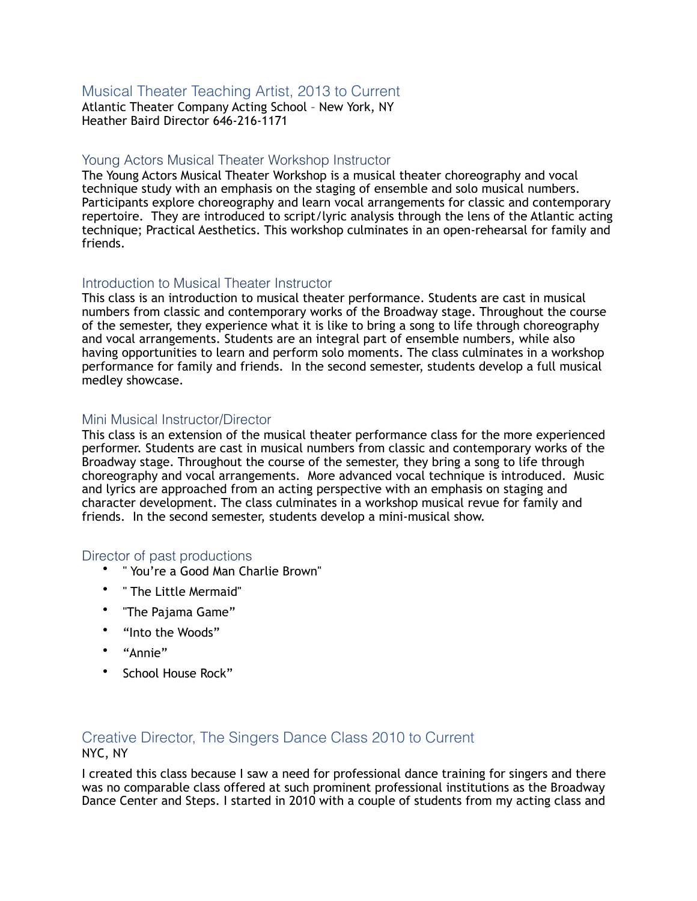## Musical Theater Teaching Artist, 2013 to Current

Atlantic Theater Company Acting School – New York, NY Heather Baird Director 646-216-1171

#### Young Actors Musical Theater Workshop Instructor

The Young Actors Musical Theater Workshop is a musical theater choreography and vocal technique study with an emphasis on the staging of ensemble and solo musical numbers. Participants explore choreography and learn vocal arrangements for classic and contemporary repertoire. They are introduced to script/lyric analysis through the lens of the Atlantic acting technique; Practical Aesthetics. This workshop culminates in an open-rehearsal for family and friends.

#### Introduction to Musical Theater Instructor

This class is an introduction to musical theater performance. Students are cast in musical numbers from classic and contemporary works of the Broadway stage. Throughout the course of the semester, they experience what it is like to bring a song to life through choreography and vocal arrangements. Students are an integral part of ensemble numbers, while also having opportunities to learn and perform solo moments. The class culminates in a workshop performance for family and friends. In the second semester, students develop a full musical medley showcase.

#### Mini Musical Instructor/Director

This class is an extension of the musical theater performance class for the more experienced performer. Students are cast in musical numbers from classic and contemporary works of the Broadway stage. Throughout the course of the semester, they bring a song to life through choreography and vocal arrangements. More advanced vocal technique is introduced. Music and lyrics are approached from an acting perspective with an emphasis on staging and character development. The class culminates in a workshop musical revue for family and friends. In the second semester, students develop a mini-musical show.

#### Director of past productions

- " You're a Good Man Charlie Brown"
- " The Little Mermaid"
- "The Pajama Game"
- "Into the Woods"
- "Annie"
- School House Rock"

## Creative Director, The Singers Dance Class 2010 to Current NYC, NY

I created this class because I saw a need for professional dance training for singers and there was no comparable class offered at such prominent professional institutions as the Broadway Dance Center and Steps. I started in 2010 with a couple of students from my acting class and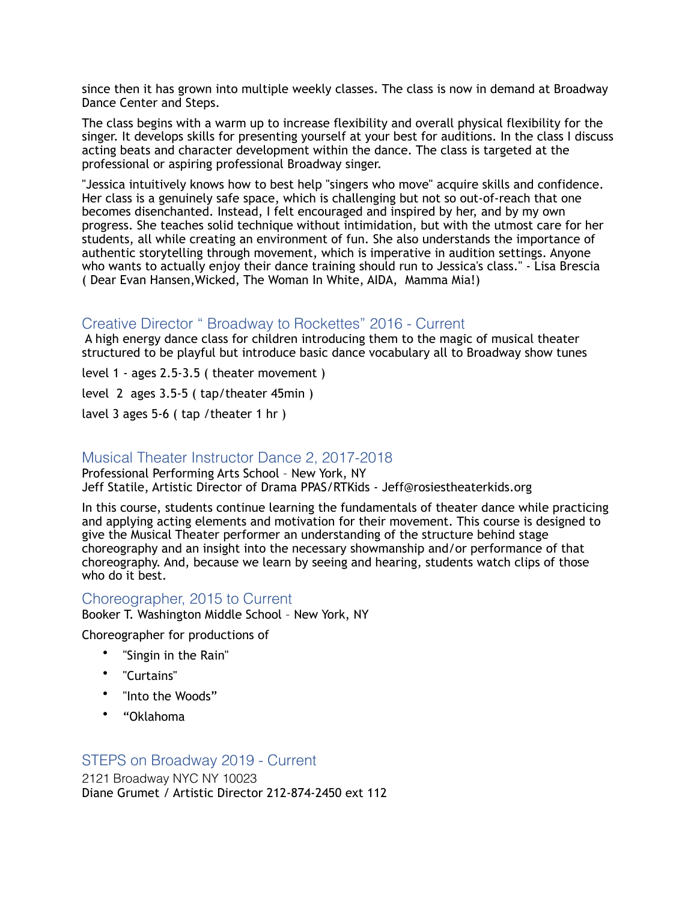since then it has grown into multiple weekly classes. The class is now in demand at Broadway Dance Center and Steps.

The class begins with a warm up to increase flexibility and overall physical flexibility for the singer. It develops skills for presenting yourself at your best for auditions. In the class I discuss acting beats and character development within the dance. The class is targeted at the professional or aspiring professional Broadway singer.

"Jessica intuitively knows how to best help "singers who move" acquire skills and confidence. Her class is a genuinely safe space, which is challenging but not so out-of-reach that one becomes disenchanted. Instead, I felt encouraged and inspired by her, and by my own progress. She teaches solid technique without intimidation, but with the utmost care for her students, all while creating an environment of fun. She also understands the importance of authentic storytelling through movement, which is imperative in audition settings. Anyone who wants to actually enjoy their dance training should run to Jessica's class." - Lisa Brescia ( Dear Evan Hansen,Wicked, The Woman In White, AIDA, Mamma Mia!)

### Creative Director " Broadway to Rockettes" 2016 - Current

 A high energy dance class for children introducing them to the magic of musical theater structured to be playful but introduce basic dance vocabulary all to Broadway show tunes

level 1 - ages 2.5-3.5 ( theater movement )

level 2 ages 3.5-5 ( tap/theater 45min )

lavel 3 ages 5-6 ( tap /theater 1 hr )

### Musical Theater Instructor Dance 2, 2017-2018

Professional Performing Arts School – New York, NY Jeff Statile, Artistic Director of Drama PPAS/RTKids - Jeff@rosiestheaterkids.org

In this course, students continue learning the fundamentals of theater dance while practicing and applying acting elements and motivation for their movement. This course is designed to give the Musical Theater performer an understanding of the structure behind stage choreography and an insight into the necessary showmanship and/or performance of that choreography. And, because we learn by seeing and hearing, students watch clips of those who do it best.

#### Choreographer, 2015 to Current

Booker T. Washington Middle School – New York, NY

Choreographer for productions of

- "Singin in the Rain"
- "Curtains"
- "Into the Woods"
- "Oklahoma

#### STEPS on Broadway 2019 - Current

2121 Broadway NYC NY 10023 Diane Grumet / Artistic Director 212-874-2450 ext 112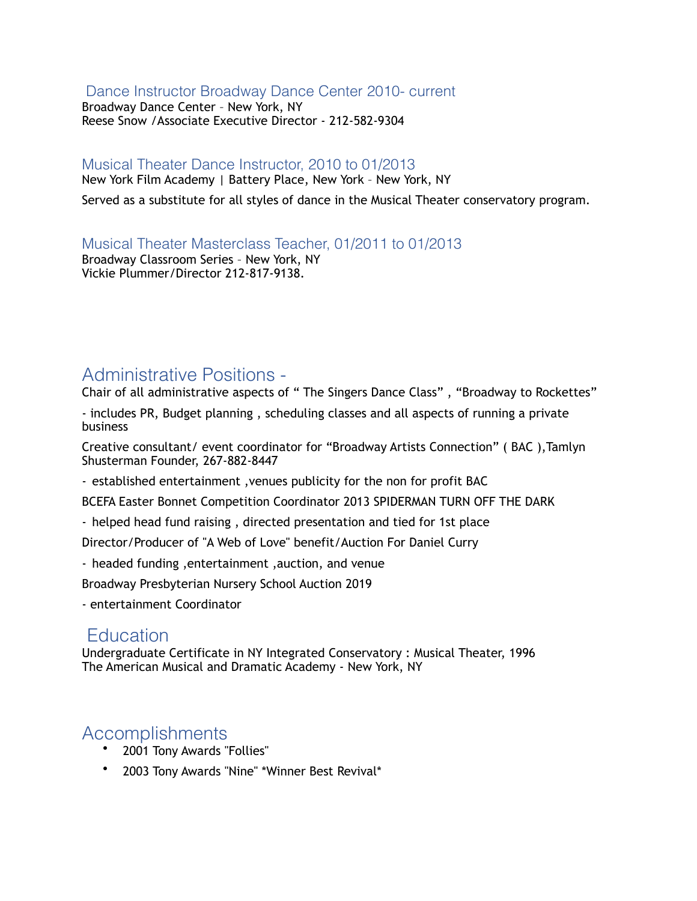### Dance Instructor Broadway Dance Center 2010- current

Broadway Dance Center – New York, NY Reese Snow /Associate Executive Director - 212-582-9304

# Musical Theater Dance Instructor, 2010 to 01/2013

New York Film Academy | Battery Place, New York – New York, NY

Served as a substitute for all styles of dance in the Musical Theater conservatory program.

Musical Theater Masterclass Teacher, 01/2011 to 01/2013 Broadway Classroom Series – New York, NY Vickie Plummer/Director 212-817-9138.

# Administrative Positions -

Chair of all administrative aspects of " The Singers Dance Class" , "Broadway to Rockettes"

- includes PR, Budget planning , scheduling classes and all aspects of running a private business

Creative consultant/ event coordinator for "Broadway Artists Connection" ( BAC ),Tamlyn Shusterman Founder, 267-882-8447

- established entertainment ,venues publicity for the non for profit BAC

BCEFA Easter Bonnet Competition Coordinator 2013 SPIDERMAN TURN OFF THE DARK

- helped head fund raising , directed presentation and tied for 1st place

Director/Producer of "A Web of Love" benefit/Auction For Daniel Curry

- headed funding ,entertainment ,auction, and venue

Broadway Presbyterian Nursery School Auction 2019

- entertainment Coordinator

# **Education**

Undergraduate Certificate in NY Integrated Conservatory : Musical Theater, 1996 The American Musical and Dramatic Academy - New York, NY

# Accomplishments

- 2001 Tony Awards "Follies"
- 2003 Tony Awards "Nine" \*Winner Best Revival\*